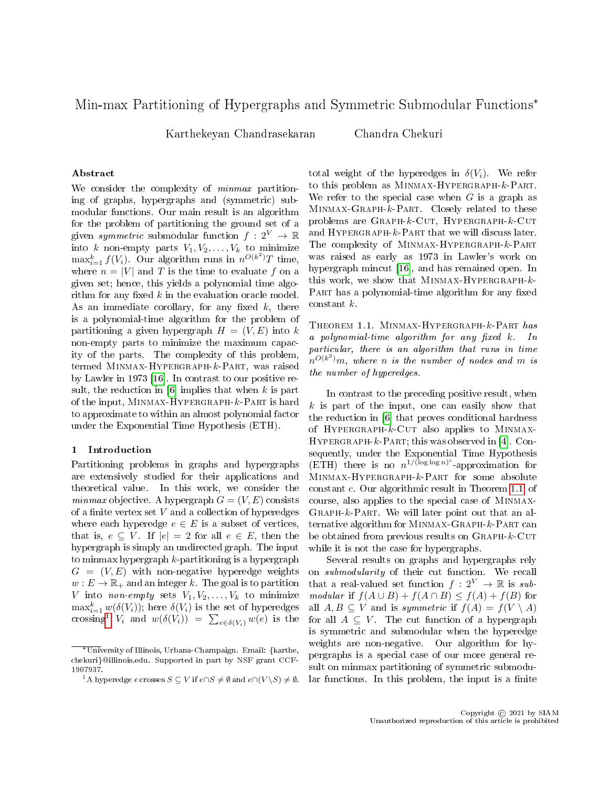# Min-max Partitioning of Hypergraphs and Symmetric Submodular Functions\*

Karthekeyan Chandrasekaran Chandra Chekuri

## Abstract

We consider the complexity of *minmax* partitioning of graphs, hypergraphs and (symmetric) submodular functions. Our main result is an algorithm for the problem of partitioning the ground set of a given symmetric submodular function  $f: 2^V \to \mathbb{R}$ into k non-empty parts  $V_1, V_2, \ldots, V_k$  to minimize  $\max_{i=1}^k f(V_i)$ . Our algorithm runs in  $n^{O(k^2)}T$  time, where  $n = |V|$  and T is the time to evaluate f on a given set; hence, this yields a polynomial time algorithm for any fixed  $k$  in the evaluation oracle model. As an immediate corollary, for any fixed  $k$ , there is a polynomial-time algorithm for the problem of partitioning a given hypergraph  $H = (V, E)$  into k non-empty parts to minimize the maximum capacity of the parts. The complexity of this problem, termed Minmax-Hypergraph-k-Part, was raised by Lawler in 1973 [\[16\]](#page-11-0). In contrast to our positive result, the reduction in  $[6]$  implies that when k is part of the input, Minmax-Hypergraph-k-Part is hard to approximate to within an almost polynomial factor under the Exponential Time Hypothesis (ETH).

## 1 Introduction

Partitioning problems in graphs and hypergraphs are extensively studied for their applications and theoretical value. In this work, we consider the minmax objective. A hypergraph  $G = (V, E)$  consists of a finite vertex set  $V$  and a collection of hyperedges where each hyperedge  $e \in E$  is a subset of vertices, that is,  $e \subseteq V$ . If  $|e| = 2$  for all  $e \in E$ , then the hypergraph is simply an undirected graph. The input to minmax hypergraph  $k$ -partitioning is a hypergraph  $G = (V, E)$  with non-negative hyperedge weights  $w : E \to \mathbb{R}_+$  and an integer k. The goal is to partition V into non-empty sets  $V_1, V_2, \ldots, V_k$  to minimize  $\max_{i=1}^k w(\delta(V_i));$  here  $\delta(V_i)$  is the set of hyperedges crossing<sup>[1](#page-0-0)</sup>  $V_i$  and  $w(\delta(V_i)) = \sum_{e \in \delta(V_i)} w(e)$  is the

total weight of the hyperedges in  $\delta(V_i)$ . We refer to this problem as MINMAX-HYPERGRAPH-k-PART. We refer to the special case when  $G$  is a graph as Minmax-Graph-k-Part. Closely related to these problems are  $\text{GRAPH-}k-\text{CUT}, \text{HYPERGRAPH-}k-\text{CUT}$ and HYPERGRAPH- $k$ -PART that we will discuss later. The complexity of MINMAX-HYPERGRAPH-k-PART was raised as early as 1973 in Lawler's work on hypergraph mincut [\[16\]](#page-11-0), and has remained open. In this work, we show that MINMAX-HYPERGRAPH- $k$ -PART has a polynomial-time algorithm for any fixed constant k.

<span id="page-0-1"></span>Theorem 1.1. Minmax-Hypergraph- $k$ -Part  $\mathit{has}$ a polynomial-time algorithm for any fixed  $k$ . In particular, there is an algorithm that runs in time  $\bar{h}^{O(k^2)}$ m, where n is the number of nodes and m is the number of hyperedges.

In contrast to the preceding positive result, when  $k$  is part of the input, one can easily show that the reduction in [\[6\]](#page-10-0) that proves conditional hardness of HYPERGRAPH- $k$ -CUT also applies to MINMAX-HYPERGRAPH- $k$ -PART; this was observed in [\[4\]](#page-10-1). Consequently, under the Exponential Time Hypothesis (ETH) there is no  $n^{1/(\log \log n)^c}$ -approximation for Minmax-Hypergraph-k-Part for some absolute constant c. Our algorithmic result in Theorem [1.1,](#page-0-1) of course, also applies to the special case of Minmax- $GRAPH-k-PART$ . We will later point out that an alternative algorithm for Minmax-Graph-k-Part can be obtained from previous results on Graph-k-Cut while it is not the case for hypergraphs.

Several results on graphs and hypergraphs rely on submodularity of their cut function. We recall that a real-valued set function  $f: 2^V \rightarrow \mathbb{R}$  is submodular if  $f(A \cup B) + f(A \cap B) \leq f(A) + f(B)$  for all  $A, B \subseteq V$  and is symmetric if  $f(A) = f(V \setminus A)$ for all  $A \subseteq V$ . The cut function of a hypergraph is symmetric and submodular when the hyperedge weights are non-negative. Our algorithm for hypergraphs is a special case of our more general result on minmax partitioning of symmetric submodular functions. In this problem, the input is a finite

<sup>\*</sup>University of Illinois, Urbana-Champaign. Email: {karthe, chekuri}@illinois.edu. Supported in part by NSF grant CCF-1907937.

<span id="page-0-0"></span><sup>&</sup>lt;sup>1</sup>A hyperedge e crosses  $S \subseteq V$  if  $e \cap S \neq \emptyset$  and  $e \cap (V \setminus S) \neq \emptyset$ .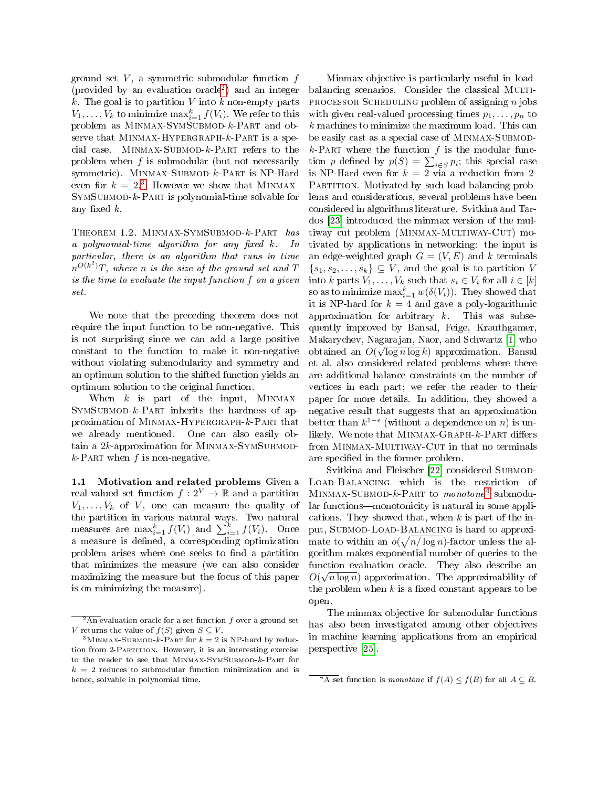ground set  $V$ , a symmetric submodular function  $f$ (provided by an evaluation oracle[2](#page-1-0) ) and an integer  $k$ . The goal is to partition V into  $k$  non-empty parts  $V_1, \ldots, V_k$  to minimize  $\max_{i=1}^k f(V_i)$ . We refer to this problem as MINMAX-SYMSUBMOD-k-PART and observe that MINMAX-HYPERGRAPH- $k$ -PART is a special case. MINMAX-SUBMOD- $k$ -PART refers to the problem when  $f$  is submodular (but not necessarily symmetric). MINMAX-SUBMOD-k-PART is NP-Hard even for  $k = 2.3$  $k = 2.3$  However we show that MINMAX- $SYMSUBMOD-k-PART$  is polynomial-time solvable for any fixed  $k$ .

<span id="page-1-3"></span>Theorem 1.2. Minmax-SymSubmod-k-Part has a polynomial-time algorithm for any fixed  $k$ . In particular, there is an algorithm that runs in time  $\hat{h}^{O(k^2)}T$ , where n is the size of the ground set and T is the time to evaluate the input function f on a given set.

We note that the preceding theorem does not require the input function to be non-negative. This is not surprising since we can add a large positive constant to the function to make it non-negative without violating submodularity and symmetry and an optimum solution to the shifted function yields an optimum solution to the original function.

When  $k$  is part of the input, MINMAX- $SVMSUBMOD-k-PART$  inherits the hardness of approximation of Minmax-Hypergraph-k-Part that we already mentioned. One can also easily obtain a  $2k$ -approximation for MINMAX-SYMSUBMOD $k$ -PART when  $f$  is non-negative.

1.1 Motivation and related problems Given a real-valued set function  $f: 2^V \to \mathbb{R}$  and a partition  $V_1, \ldots, V_k$  of V, one can measure the quality of the partition in various natural ways. Two natural measures are  $\max_{i=1}^k f(V_i)$  and  $\sum_{i=1}^k f(V_i)$ . Once a measure is defined, a corresponding optimization problem arises where one seeks to find a partition that minimizes the measure (we can also consider maximizing the measure but the focus of this paper is on minimizing the measure).

Minmax objective is particularly useful in loadbalancing scenarios. Consider the classical MULTI-PROCESSOR SCHEDULING problem of assigning *n* jobs with given real-valued processing times  $p_1, \ldots, p_n$  to k machines to minimize the maximum load. This can be easily cast as a special case of MINMAX-SUBMOD $k$ -PART where the function  $f$  is the modular function p defined by  $p(S) = \sum_{i \in S} p_i$ ; this special case is NP-Hard even for  $k = 2$  via a reduction from 2-PARTITION. Motivated by such load balancing problems and considerations, several problems have been considered in algorithms literature. Svitkina and Tardos [\[23\]](#page-11-1) introduced the minmax version of the multiway cut problem (MINMAX-MULTIWAY-CUT) motivated by applications in networking: the input is an edge-weighted graph  $G = (V, E)$  and k terminals  $\{s_1, s_2, \ldots, s_k\} \subseteq V$ , and the goal is to partition V into k parts  $V_1, \ldots, V_k$  such that  $s_i \in V_i$  for all  $i \in [k]$ so as to minimize  $\max_{i=1}^k w(\delta(V_i))$ . They showed that it is NP-hard for  $k = 4$  and gave a poly-logarithmic approximation for arbitrary  $k$ . This was subsequently improved by Bansal, Feige, Krauthgamer, Makarychev, Nagarajan, Naor, and Schwartz [\[1\]](#page-10-2) who √ obtained an  $O(\sqrt{\log n \log k})$  approximation. Bansal et al. also considered related problems where there are additional balance constraints on the number of vertices in each part; we refer the reader to their paper for more details. In addition, they showed a negative result that suggests that an approximation better than  $k^{1-\epsilon}$  (without a dependence on n) is unlikely. We note that MINMAX-GRAPH- $k$ -PART differs from MINMAX-MULTIWAY-CUT in that no terminals are specified in the former problem.

Svitkina and Fleischer [\[22\]](#page-11-2) considered Submod-Load-Balancing which is the restriction of MINMAX-SUBMOD-k-PART to monotone<sup>[4](#page-1-2)</sup> submodular functions—monotonicity is natural in some applications. They showed that, when  $k$  is part of the input, SUBMOD-LOAD-BALANCING is hard to approximate to within an  $o(\sqrt{n/\log n})$ -factor unless the algorithm makes exponential number of queries to the function evaluation oracle. They also describe an  $O(\sqrt{n \log n})$  approximation. The approximability of the problem when  $k$  is a fixed constant appears to be open.

The minmax objective for submodular functions has also been investigated among other objectives in machine learning applications from an empirical perspective [\[25\]](#page-11-3).

<span id="page-1-0"></span> $\sqrt[2]{2\text{An}}$  evaluation oracle for a set function f over a ground set V returns the value of  $f(S)$  given  $S \subseteq V$ .

<span id="page-1-1"></span> $3$ MINMAX-SUBMOD- $k$ -PART for  $k = 2$  is NP-hard by reduction from 2-PARTITION. However, it is an interesting exercise to the reader to see that MINMAX-SYMSUBMOD- $k$ -Part for  $k = 2$  reduces to submodular function minimization and is hence, solvable in polynomial time.

<span id="page-1-2"></span> $\frac{4}{4A}$  set function is *monotone* if  $f(A) \leq f(B)$  for all  $A \subseteq B$ .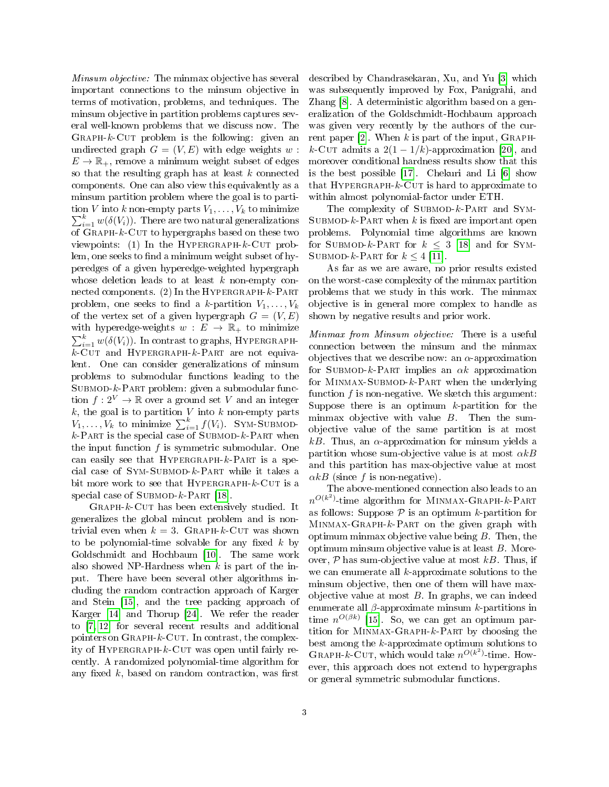Minsum objective: The minmax objective has several important connections to the minsum objective in terms of motivation, problems, and techniques. The minsum objective in partition problems captures several well-known problems that we discuss now. The GRAPH- $k$ -CUT problem is the following: given an undirected graph  $G = (V, E)$  with edge weights w:  $E \to \mathbb{R}_+$ , remove a minimum weight subset of edges so that the resulting graph has at least  $k$  connected components. One can also view this equivalently as a minsum partition problem where the goal is to parti- $\sum$ tion V into  $k$  non-empty parts  $V_1, \ldots, V_k$  to minimize  $\sum_{i=1}^k w(\delta(V_i))$ . There are two natural generalizations of  $\operatorname{GRAPH-}k$ -Cut to hypergraphs based on these two viewpoints: (1) In the HYPERGRAPH- $k$ -CUT problem, one seeks to find a minimum weight subset of hyperedges of a given hyperedge-weighted hypergraph whose deletion leads to at least  $k$  non-empty connected components. (2) In the HYPERGRAPH- $k$ -PART problem, one seeks to find a k-partition  $V_1, \ldots, V_k$ of the vertex set of a given hypergraph  $G = (V, E)$ with hyperedge-weights  $w : E \rightarrow \mathbb{R}_{+}$  to minimize  $\sum_{i=1}^k w(\delta(V_i))$ . In contrast to graphs, HYPERGRAPH $k$ -Cut and HYPERGRAPH- $k$ -PART are not equivalent. One can consider generalizations of minsum problems to submodular functions leading to the  $SUBMOD-k-PART problem: given a submodular func$ tion  $f: 2^V \to \mathbb{R}$  over a ground set V and an integer  $k$ , the goal is to partition  $V$  into  $k$  non-empty parts  $V_1, \ldots, V_k$  to minimize  $\sum_{i=1}^k f(V_i)$ . SYM-SUBMOD $k$ -PART is the special case of SUBMOD- $k$ -PART when the input function  $f$  is symmetric submodular. One can easily see that  $HYPERGRAPH - k-PART$  is a special case of  $SYM-SUBMOD-k-PART$  while it takes a bit more work to see that  $HYPERGRAPH - k$ -CUT is a special case of  $SUBMOD-k-PART$  [\[18\]](#page-11-4).

 $GRAPH-k-CUT$  has been extensively studied. It generalizes the global mincut problem and is nontrivial even when  $k = 3$ . GRAPH-k-CUT was shown to be polynomial-time solvable for any fixed  $k$  by Goldschmidt and Hochbaum [\[10\]](#page-11-5). The same work also showed NP-Hardness when  $k$  is part of the input. There have been several other algorithms including the random contraction approach of Karger and Stein [\[15\]](#page-11-6), and the tree packing approach of Karger [\[14\]](#page-11-7) and Thorup [\[24\]](#page-11-8). We refer the reader to [\[7,](#page-10-3) [12\]](#page-11-9) for several recent results and additional pointers on  $\operatorname{GRAPH-}k$ -CUT. In contrast, the complexity of HYPERGRAPH- $k$ -CUT was open until fairly recently. A randomized polynomial-time algorithm for any fixed  $k$ , based on random contraction, was first

described by Chandrasekaran, Xu, and Yu [\[3\]](#page-10-4) which was subsequently improved by Fox, Panigrahi, and Zhang [\[8\]](#page-10-5). A deterministic algorithm based on a generalization of the Goldschmidt-Hochbaum approach was given very recently by the authors of the cur-rent paper [\[2\]](#page-10-6). When k is part of the input,  $\text{GRAPH}$ k-Cut admits a  $2(1 - 1/k)$ -approximation [\[20\]](#page-11-10), and moreover conditional hardness results show that this is the best possible [\[17\]](#page-11-11). Chekuri and Li [\[6\]](#page-10-0) show that HYPERGRAPH- $k$ -CUT is hard to approximate to within almost polynomial-factor under ETH.

The complexity of SUBMOD- $k$ -PART and SYM-SUBMOD- $k$ -PART when k is fixed are important open problems. Polynomial time algorithms are known for SUBMOD-k-PART for  $k \leq 3$  [\[18\]](#page-11-4) and for SYM-SUBMOD-k-PART for  $k \leq 4$  [\[11\]](#page-11-12).

As far as we are aware, no prior results existed on the worst-case complexity of the minmax partition problems that we study in this work. The minmax objective is in general more complex to handle as shown by negative results and prior work.

Minmax from Minsum objective: There is a useful connection between the minsum and the minmax objectives that we describe now: an  $\alpha$ -approximation for SUBMOD-k-PART implies an  $\alpha k$  approximation for MINMAX-SUBMOD- $k$ -Part when the underlying function  $f$  is non-negative. We sketch this argument: Suppose there is an optimum  $k$ -partition for the minmax objective with value  $B$ . Then the sumobjective value of the same partition is at most kB. Thus, an  $\alpha$ -approximation for minsum yields a partition whose sum-objective value is at most  $\alpha kB$ and this partition has max-objective value at most  $\alpha k$ B (since f is non-negative).

The above-mentioned connection also leads to an  $n^{O(k^2)}$ -time algorithm for MINMAX-GRAPH- $k$ -PART as follows: Suppose  $P$  is an optimum k-partition for  $MINMAX-GRAPH-k-PART$  on the given graph with optimum minmax objective value being  $B$ . Then, the optimum minsum objective value is at least B. Moreover,  $P$  has sum-objective value at most  $kB$ . Thus, if we can enumerate all  $k$ -approximate solutions to the minsum objective, then one of them will have maxobjective value at most  $B$ . In graphs, we can indeed enumerate all  $\beta$ -approximate minsum k-partitions in time  $n^{O(\beta k)}$  [\[15\]](#page-11-6). So, we can get an optimum partition for Minmax-Graph-k-Part by choosing the best among the k-approximate optimum solutions to GRAPH- $k$ -CUT, which would take  $n^{O(k^2)}$ -time. However, this approach does not extend to hypergraphs or general symmetric submodular functions.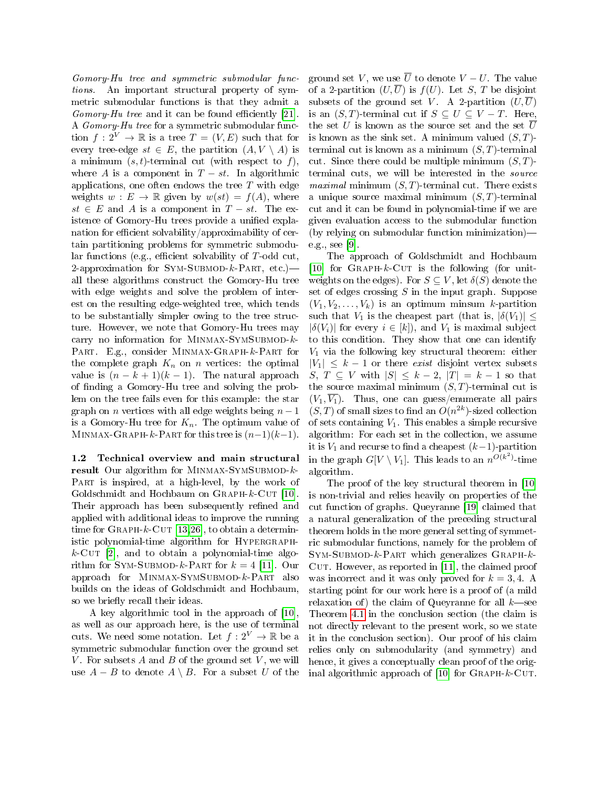Gomory-Hu tree and symmetric submodular functions. An important structural property of symmetric submodular functions is that they admit a  $Gomory-Hu$  tree and it can be found efficiently [\[21\]](#page-11-13). A Gomory-Hu tree for a symmetric submodular function  $f: 2^V \to \mathbb{R}$  is a tree  $T = (V, E)$  such that for every tree-edge  $st \in E$ , the partition  $(A, V \setminus A)$  is a minimum  $(s, t)$ -terminal cut (with respect to f), where A is a component in  $T - st$ . In algorithmic applications, one often endows the tree  $T$  with edge weights  $w : E \to \mathbb{R}$  given by  $w(st) = f(A)$ , where  $st \in E$  and A is a component in  $T - st$ . The existence of Gomory-Hu trees provide a unified explanation for efficient solvability/approximability of certain partitioning problems for symmetric submodular functions (e.g., efficient solvability of  $T$ -odd cut, 2-approximation for SYM-SUBMOD- $k$ -PART, etc.) all these algorithms construct the Gomory-Hu tree with edge weights and solve the problem of interest on the resulting edge-weighted tree, which tends to be substantially simpler owing to the tree structure. However, we note that Gomory-Hu trees may carry no information for MINMAX-SYMSUBMOD- $k$ -PART. E.g., consider MINMAX-GRAPH-k-PART for the complete graph  $K_n$  on n vertices: the optimal value is  $(n - k + 1)(k - 1)$ . The natural approach of nding a Gomory-Hu tree and solving the problem on the tree fails even for this example: the star graph on *n* vertices with all edge weights being  $n-1$ is a Gomory-Hu tree for  $K_n$ . The optimum value of MINMAX-GRAPH-k-PART for this tree is  $(n-1)(k-1)$ .

1.2 Technical overview and main structural result Our algorithm for MINMAX-SYMSUBMOD- $k$ -PART is inspired, at a high-level, by the work of Goldschmidt and Hochbaum on  $\text{GRAPH-}k-\text{CUT}$  [\[10\]](#page-11-5). Their approach has been subsequently refined and applied with additional ideas to improve the running time for  $\text{GRAPH-}k$ -CUT [\[13,](#page-11-14)[26\]](#page-12-0), to obtain a deterministic polynomial-time algorithm for HYPERGRAPH $k$ -CUT [\[2\]](#page-10-6), and to obtain a polynomial-time algorithm for SYM-SUBMOD- $k$ -PART for  $k = 4$  [\[11\]](#page-11-12). Our approach for Minmax-SymSubmod-k-Part also builds on the ideas of Goldschmidt and Hochbaum, so we briefly recall their ideas.

A key algorithmic tool in the approach of [\[10\]](#page-11-5), as well as our approach here, is the use of terminal cuts. We need some notation. Let  $f: 2^V \to \mathbb{R}$  be a symmetric submodular function over the ground set V. For subsets  $A$  and  $B$  of the ground set  $V$ , we will use  $A - B$  to denote  $A \setminus B$ . For a subset U of the ground set V, we use  $\overline{U}$  to denote  $V - U$ . The value of a 2-partition  $(U,\overline{U})$  is  $f(U)$ . Let S, T be disjoint subsets of the ground set V. A 2-partition  $(U, U)$ is an  $(S, T)$ -terminal cut if  $S \subseteq U \subseteq V - T$ . Here, the set U is known as the source set and the set  $\overline{U}$ is known as the sink set. A minimum valued  $(S, T)$ terminal cut is known as a minimum  $(S, T)$ -terminal cut. Since there could be multiple minimum  $(S, T)$ terminal cuts, we will be interested in the source *maximal* minimum  $(S, T)$ -terminal cut. There exists a unique source maximal minimum  $(S, T)$ -terminal cut and it can be found in polynomial-time if we are given evaluation access to the submodular function (by relying on submodular function minimization) e.g., see [\[9\]](#page-11-15).

The approach of Goldschmidt and Hochbaum [\[10\]](#page-11-5) for  $\text{GRAPH-}k$ -CUT is the following (for unitweights on the edges). For  $S \subseteq V$ , let  $\delta(S)$  denote the set of edges crossing  $S$  in the input graph. Suppose  $(V_1, V_2, \ldots, V_k)$  is an optimum minsum k-partition such that  $V_1$  is the cheapest part (that is,  $|\delta(V_1)| \leq$  $|\delta(V_i)|$  for every  $i \in [k]$ , and  $V_1$  is maximal subject to this condition. They show that one can identify  $V_1$  via the following key structural theorem: either  $|V_1| \leq k - 1$  or there exist disjoint vertex subsets S,  $T \subseteq V$  with  $|S| \leq k-2$ ,  $|T| = k-1$  so that the source maximal minimum  $(S, T)$ -terminal cut is  $(V_1, \overline{V_1})$ . Thus, one can guess/enumerate all pairs  $(S, T)$  of small sizes to find an  $O(n^{2k})$ -sized collection of sets containing  $V_1$ . This enables a simple recursive algorithm: For each set in the collection, we assume it is  $V_1$  and recurse to find a cheapest  $(k-1)$ -partition in the graph  $G[V \setminus V_1]$ . This leads to an  $n^{O(k^2)}$ -time algorithm.

The proof of the key structural theorem in [\[10\]](#page-11-5) is non-trivial and relies heavily on properties of the cut function of graphs. Queyranne [\[19\]](#page-11-16) claimed that a natural generalization of the preceding structural theorem holds in the more general setting of symmetric submodular functions, namely for the problem of  $Sym-SUBMOD-k-PART$  which generalizes  $GRAPH-k-$ CUT. However, as reported in [\[11\]](#page-11-12), the claimed proof was incorrect and it was only proved for  $k = 3, 4$ . A starting point for our work here is a proof of (a mild relaxation of) the claim of Queyranne for all  $k$  see Theorem [4.1](#page-10-7) in the conclusion section (the claim is not directly relevant to the present work, so we state it in the conclusion section). Our proof of his claim relies only on submodularity (and symmetry) and hence, it gives a conceptually clean proof of the orig-inal algorithmic approach of [\[10\]](#page-11-5) for  $\text{GRAPH-}k-\text{CUT}$ .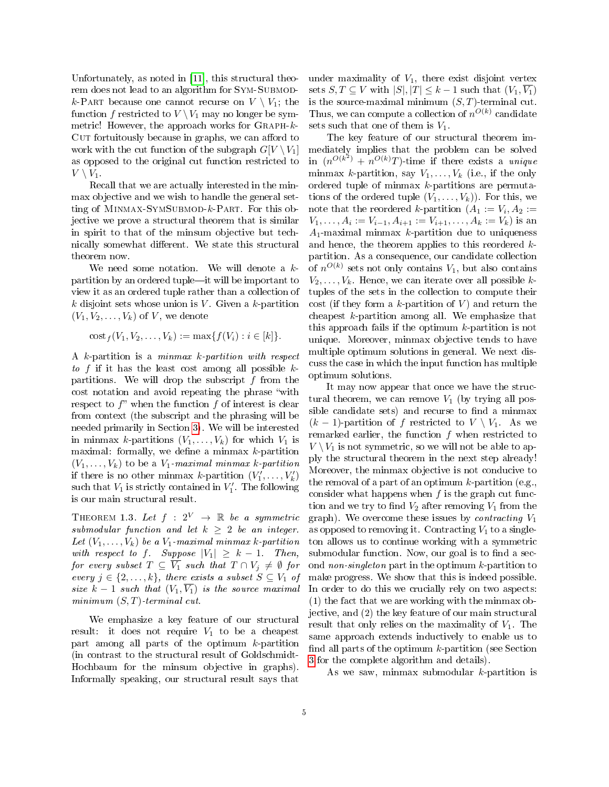Unfortunately, as noted in [\[11\]](#page-11-12), this structural theorem does not lead to an algorithm for SYM-SUBMODk-PART because one cannot recurse on  $V \setminus V_1$ ; the function f restricted to  $V \setminus V_1$  may no longer be symmetric! However, the approach works for  $\text{GRAPH-}k$ -CUT fortuitously because in graphs, we can afford to work with the cut function of the subgraph  $G[V \setminus V_1]$ as opposed to the original cut function restricted to  $V \setminus V_1$ .

Recall that we are actually interested in the minmax objective and we wish to handle the general setting of MINMAX-SYMSUBMOD-k-PART. For this objective we prove a structural theorem that is similar in spirit to that of the minsum objective but technically somewhat different. We state this structural theorem now.

We need some notation. We will denote a  $k$ partition by an ordered tuple—it will be important to view it as an ordered tuple rather than a collection of k disjoint sets whose union is V. Given a k-partition  $(V_1, V_2, \ldots, V_k)$  of V, we denote

 $\cot_f(V_1, V_2, \ldots, V_k) := \max\{f(V_i) : i \in [k]\}.$ 

A k-partition is a minmax k-partition with respect to f if it has the least cost among all possible  $k$ partitions. We will drop the subscript  $f$  from the cost notation and avoid repeating the phrase "with respect to  $f''$  when the function  $f$  of interest is clear from context (the subscript and the phrasing will be needed primarily in Section [3\)](#page-8-0). We will be interested in minmax k-partitions  $(V_1, \ldots, V_k)$  for which  $V_1$  is maximal: formally, we define a minmax  $k$ -partition  $(V_1, \ldots, V_k)$  to be a  $V_1$ -maximal minmax k-partition if there is no other minmax k-partition  $(V'_1, \ldots, V'_k)$ such that  $V_1$  is strictly contained in  $V'_1$ . The following is our main structural result.

<span id="page-4-0"></span>THEOREM 1.3. Let  $f : 2^V \rightarrow \mathbb{R}$  be a symmetric submodular function and let  $k \geq 2$  be an integer. Let  $(V_1, \ldots, V_k)$  be a  $V_1$ -maximal minmax k-partition with respect to f. Suppose  $|V_1| \geq k - 1$ . Then, for every subset  $T \subseteq \overline{V_1}$  such that  $T \cap V_j \neq \emptyset$  for every  $j \in \{2, \ldots, k\}$ , there exists a subset  $S \subseteq V_1$  of size  $k-1$  such that  $(V_1, \overline{V_1})$  is the source maximal minimum  $(S, T)$ -terminal cut.

We emphasize a key feature of our structural result: it does not require  $V_1$  to be a cheapest part among all parts of the optimum k-partition (in contrast to the structural result of Goldschmidt-Hochbaum for the minsum objective in graphs). Informally speaking, our structural result says that

under maximality of  $V_1$ , there exist disjoint vertex sets  $S, T \subseteq V$  with  $|S|, |T| \leq k-1$  such that  $(V_1, \overline{V_1})$ is the source-maximal minimum  $(S, T)$ -terminal cut. Thus, we can compute a collection of  $n^{O(k)}$  candidate sets such that one of them is  $V_1$ .

The key feature of our structural theorem immediately implies that the problem can be solved in  $(n^{O(k^2)} + n^{O(k)}T)$ -time if there exists a unique minmax k-partition, say  $V_1, \ldots, V_k$  (i.e., if the only ordered tuple of minmax  $k$ -partitions are permutations of the ordered tuple  $(V_1, \ldots, V_k)$ . For this, we note that the reordered *k*-partition  $(A_1 := V_i, A_2 :=$  $V_1, \ldots, A_i := V_{i-1}, A_{i+1} := V_{i+1}, \ldots, A_k := V_k$ ) is an  $A_1$ -maximal minmax k-partition due to uniqueness and hence, the theorem applies to this reordered kpartition. As a consequence, our candidate collection of  $n^{O(k)}$  sets not only contains  $V_1$ , but also contains  $V_2, \ldots, V_k$ . Hence, we can iterate over all possible ktuples of the sets in the collection to compute their cost (if they form a k-partition of V) and return the cheapest  $k$ -partition among all. We emphasize that this approach fails if the optimum  $k$ -partition is not unique. Moreover, minmax objective tends to have multiple optimum solutions in general. We next discuss the case in which the input function has multiple optimum solutions.

It may now appear that once we have the structural theorem, we can remove  $V_1$  (by trying all possible candidate sets) and recurse to find a minmax  $(k-1)$ -partition of f restricted to  $V \setminus V_1$ . As we remarked earlier, the function f when restricted to  $V \setminus V_1$  is not symmetric, so we will not be able to apply the structural theorem in the next step already! Moreover, the minmax objective is not conducive to the removal of a part of an optimum  $k$ -partition (e.g., consider what happens when  $f$  is the graph cut function and we try to find  $V_2$  after removing  $V_1$  from the graph). We overcome these issues by *contracting*  $V_1$ as opposed to removing it. Contracting  $V_1$  to a singleton allows us to continue working with a symmetric submodular function. Now, our goal is to find a second non-singleton part in the optimum  $k$ -partition to make progress. We show that this is indeed possible. In order to do this we crucially rely on two aspects: (1) the fact that we are working with the minmax objective, and (2) the key feature of our main structural result that only relies on the maximality of  $V_1$ . The same approach extends inductively to enable us to find all parts of the optimum  $k$ -partition (see Section [3](#page-8-0) for the complete algorithm and details).

As we saw, minmax submodular  $k$ -partition is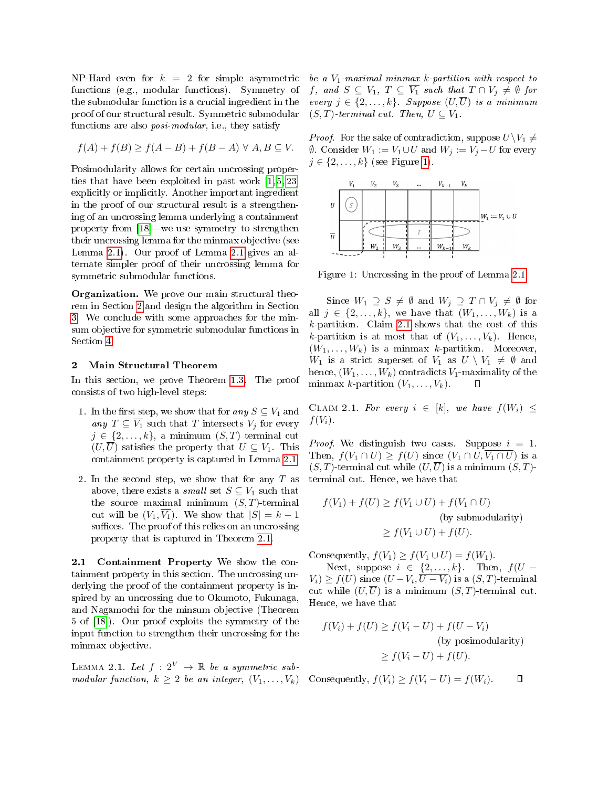NP-Hard even for  $k = 2$  for simple asymmetric functions (e.g., modular functions). Symmetry of the submodular function is a crucial ingredient in the proof of our structural result. Symmetric submodular functions are also *posi-modular*, i.e., they satisfy

$$
f(A) + f(B) \ge f(A - B) + f(B - A) \,\forall \, A, B \subseteq V.
$$

Posimodularity allows for certain uncrossing properties that have been exploited in past work [\[1,](#page-10-2) [5,](#page-10-8) [23\]](#page-11-1) explicitly or implicitly. Another important ingredient in the proof of our structural result is a strengthening of an uncrossing lemma underlying a containment property from  $[18]$ —we use symmetry to strengthen their uncrossing lemma for the minmax objective (see Lemma [2.1\)](#page-5-0). Our proof of Lemma [2.1](#page-5-0) gives an alternate simpler proof of their uncrossing lemma for symmetric submodular functions.

Organization. We prove our main structural theorem in Section [2](#page-5-1) and design the algorithm in Section [3.](#page-8-0) We conclude with some approaches for the minsum objective for symmetric submodular functions in Section [4.](#page-9-0)

#### <span id="page-5-1"></span>2 Main Structural Theorem

In this section, we prove Theorem [1.3.](#page-4-0) The proof consists of two high-level steps:

- 1. In the first step, we show that for any  $S \subseteq V_1$  and any  $T \subseteq \overline{V_1}$  such that T intersects  $V_j$  for every  $j \in \{2, \ldots, k\},\$ a minimum  $(S, T)$  terminal cut  $(U,\overline{U})$  satisfies the property that  $U \subseteq V_1$ . This containment property is captured in Lemma [2.1.](#page-5-0)
- 2. In the second step, we show that for any  $T$  as above, there exists a *small* set  $S \subseteq V_1$  such that the source maximal minimum  $(S, T)$ -terminal cut will be  $(V_1, \overline{V_1})$ . We show that  $|S| = k - 1$ suffices. The proof of this relies on an uncrossing property that is captured in Theorem [2.1.](#page-6-0)

2.1 Containment Property We show the containment property in this section. The uncrossing underlying the proof of the containment property is inspired by an uncrossing due to Okumoto, Fukunaga, and Nagamochi for the minsum objective (Theorem 5 of [\[18\]](#page-11-4)). Our proof exploits the symmetry of the input function to strengthen their uncrossing for the minmax objective.

<span id="page-5-0"></span>LEMMA 2.1. Let  $f: 2^V \rightarrow \mathbb{R}$  be a symmetric submodular function,  $k \geq 2$  be an integer,  $(V_1, \ldots, V_k)$ 

be a  $V_1$ -maximal minmax k-partition with respect to f, and  $S \subseteq V_1$ ,  $T \subseteq \overline{V_1}$  such that  $T \cap V_j \neq \emptyset$  for every  $j \in \{2, ..., k\}$ . Suppose  $(U, \overline{U})$  is a minimum  $(S, T)$ -terminal cut. Then,  $U \subseteq V_1$ .

*Proof.* For the sake of contradiction, suppose  $U\Upsilon_1 \neq$  $∅$ . Consider  $W_1 := V_1 \cup U$  and  $W_j := V_j - U$  for every  $j \in \{2, \ldots, k\}$  (see Figure [1\)](#page-5-2).

<span id="page-5-2"></span>

Figure 1: Uncrossing in the proof of Lemma [2.1.](#page-5-0)

Since  $W_1 \supseteq S \neq \emptyset$  and  $W_j \supseteq T \cap V_j \neq \emptyset$  for all  $j \in \{2, \ldots, k\}$ , we have that  $(W_1, \ldots, W_k)$  is a  $k$ -partition. Claim [2.1](#page-5-3) shows that the cost of this k-partition is at most that of  $(V_1, \ldots, V_k)$ . Hence,  $(W_1, \ldots, W_k)$  is a minmax k-partition. Moreover,  $W_1$  is a strict superset of  $V_1$  as  $U \setminus V_1 \neq \emptyset$  and hence,  $(W_1, \ldots, W_k)$  contradicts  $V_1$ -maximality of the minmax k-partition  $(V_1, \ldots, V_k)$ . □

<span id="page-5-3"></span>CLAIM 2.1. For every  $i \in [k]$ , we have  $f(W_i) \leq$  $f(V_i)$ .

*Proof.* We distinguish two cases. Suppose  $i = 1$ . Then,  $f(V_1 \cap U) \geq f(U)$  since  $(V_1 \cap U, \overline{V_1 \cap U})$  is a  $(S, T)$ -terminal cut while  $(U, \overline{U})$  is a minimum  $(S, T)$ terminal cut. Hence, we have that

$$
f(V_1) + f(U) \ge f(V_1 \cup U) + f(V_1 \cap U)
$$
  
(by submodularity)  

$$
\ge f(V_1 \cup U) + f(U).
$$

Consequently,  $f(V_1) \ge f(V_1 \cup U) = f(W_1)$ .

Next, suppose  $i \in \{2, ..., k\}$ . Then,  $f(U V_i) \ge f(U)$  since  $(U - V_i, \overline{U - V_i})$  is a  $(S, T)$ -terminal cut while  $(U,\overline{U})$  is a minimum  $(S,T)$ -terminal cut. Hence, we have that

$$
f(V_i) + f(U) \ge f(V_i - U) + f(U - V_i)
$$
  
(by posimodularity)  

$$
\ge f(V_i - U) + f(U).
$$

Consequently,  $f(V_i) \geq f(V_i - U) = f(W_i)$ . Π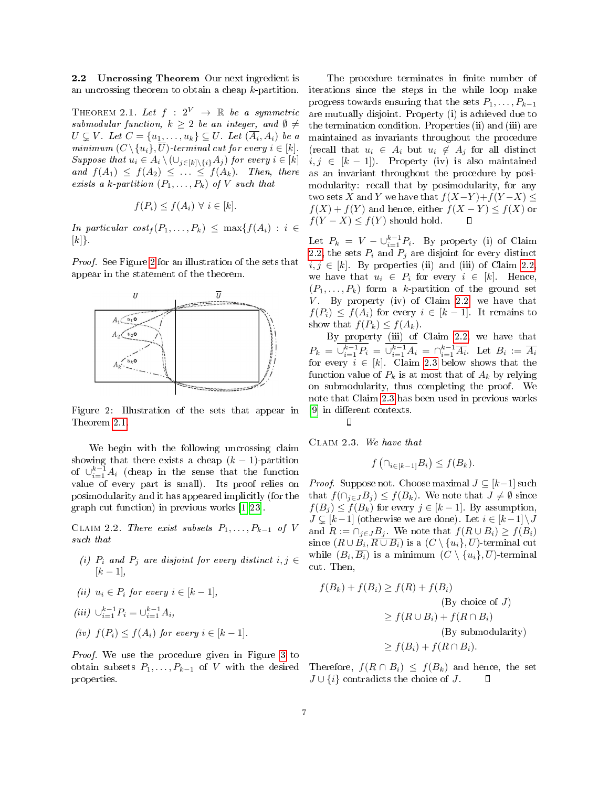2.2 Uncrossing Theorem Our next ingredient is an uncrossing theorem to obtain a cheap k-partition.

<span id="page-6-0"></span>THEOREM 2.1. Let  $f : 2^V \rightarrow \mathbb{R}$  be a symmetric submodular function,  $k \geq 2$  be an integer, and  $\emptyset \neq$  $U \subsetneq V$ . Let  $C = \{u_1, \ldots, u_k\} \subseteq U$ . Let  $(\overline{A_i}, A_i)$  be a minimum  $(C \setminus \{u_i\}, \overline{U})$ -terminal cut for every  $i \in [k]$ . Suppose that  $u_i \in A_i \setminus (\cup_{j\in[k]\setminus\{i\}} A_j)$  for every  $i \in [k]$ and  $f(A_1) \leq f(A_2) \leq \ldots \leq f(A_k)$ . Then, there exists a k-partition  $(P_1, \ldots, P_k)$  of V such that

$$
f(P_i) \le f(A_i) \ \forall \ i \in [k].
$$

In particular  $cost_f(P_1, \ldots, P_k) \leq \max\{f(A_i) : i \in$  $[k]$ .

Proof. See Figure [2](#page-6-1) for an illustration of the sets that appear in the statement of the theorem.

<span id="page-6-1"></span>

Figure 2: Illustration of the sets that appear in Theorem [2.1.](#page-6-0)

We begin with the following uncrossing claim showing that there exists a cheap  $(k-1)$ -partition of  $\cup_{i=1}^{k-1} A_i$  (cheap in the sense that the function value of every part is small). Its proof relies on posimodularity and it has appeared implicitly (for the graph cut function) in previous works [\[1,](#page-10-2) [23\]](#page-11-1).

CLAIM 2.2. There exist subsets  $P_1, \ldots, P_{k-1}$  of V such that

- (i)  $P_i$  and  $P_j$  are disjoint for every distinct  $i, j \in$  $[k-1]$ ,
- (ii)  $u_i \in P_i$  for every  $i \in [k-1]$ ,

$$
(iii) \ \cup_{i=1}^{k-1} P_i = \cup_{i=1}^{k-1} A_i,
$$

(iv)  $f(P_i) \leq f(A_i)$  for every  $i \in [k-1]$ .

Proof. We use the procedure given in Figure [3](#page-7-0) to obtain subsets  $P_1, \ldots, P_{k-1}$  of V with the desired properties.

The procedure terminates in finite number of iterations since the steps in the while loop make progress towards ensuring that the sets  $P_1, \ldots, P_{k-1}$ are mutually disjoint. Property (i) is achieved due to the termination condition. Properties (ii) and (iii) are maintained as invariants throughout the procedure (recall that  $u_i \in A_i$  but  $u_i \notin A_j$  for all distinct  $i, j \in [k-1]$ . Property (iv) is also maintained as an invariant throughout the procedure by posimodularity: recall that by posimodularity, for any two sets X and Y we have that  $f(X-Y)+f(Y-X) \leq$  $f(X) + f(Y)$  and hence, either  $f(X - Y) \leq f(X)$  or  $f(Y - X) \leq f(Y)$  should hold.

Let  $P_k = V - \bigcup_{i=1}^{k-1} P_i$ . By property (i) of Claim [2.2,](#page-6-2) the sets  $P_i$  and  $P_j$  are disjoint for every distinct  $i, j \in [k]$ . By properties (ii) and (iii) of Claim 2.2. we have that  $u_i \in P_i$  for every  $i \in [k]$ . Hence,  $(P_1, \ldots, P_k)$  form a k-partition of the ground set  $V$ . By property (iv) of Claim [2.2,](#page-6-2) we have that  $f(P_i) \leq f(A_i)$  for every  $i \in [k-1]$ . It remains to show that  $f(P_k) \leq f(A_k)$ .

By property (iii) of Claim [2.2,](#page-6-2) we have that  $P_k = \bigcup_{i=1}^{k-1} P_i = \bigcup_{i=1}^{k-1} A_i = \bigcap_{i=1}^{k-1} \overline{A_i}$ . Let  $B_i := \overline{A_i}$ for every  $i \in [k]$ . Claim [2.3](#page-6-3) below shows that the function value of  $P_k$  is at most that of  $A_k$  by relying on submodularity, thus completing the proof. We note that Claim [2.3](#page-6-3) has been used in previous works [\[9\]](#page-11-15) in different contexts.  $\Box$ 

<span id="page-6-3"></span>Claim 2.3. We have that

$$
f\left(\cap_{i\in[k-1]}B_i\right)\leq f(B_k).
$$

<span id="page-6-2"></span>*Proof.* Suppose not. Choose maximal  $J \subseteq [k-1]$  such that  $f(\bigcap_{j\in J}B_j)\leq f(B_k)$ . We note that  $J\neq\emptyset$  since  $f(B_j) \leq f(B_k)$  for every  $j \in [k-1]$ . By assumption,  $J \subsetneq [k-1]$  (otherwise we are done). Let  $i \in [k-1] \setminus J$ and  $R := \bigcap_{j \in J} B_j$ . We note that  $f(R \cup B_i) \ge f(B_i)$ since  $(R\cup B_i,\overline{R\cup B_i})$  is a  $(C\setminus\{u_i\},\overline{U})$ -terminal cut while  $(B_i, \overline{B_i})$  is a minimum  $(C \setminus \{u_i\}, \overline{U})$ -terminal cut. Then,

$$
f(B_k) + f(B_i) \ge f(R) + f(B_i)
$$
  
(By choice of  $J$ )  

$$
\ge f(R \cup B_i) + f(R \cap B_i)
$$
  
(By submodularity)  

$$
\ge f(B_i) + f(R \cap B_i).
$$

Therefore,  $f(R \cap B_i) \leq f(B_k)$  and hence, the set  $J \cup \{i\}$  contradicts the choice of J.  $\Box$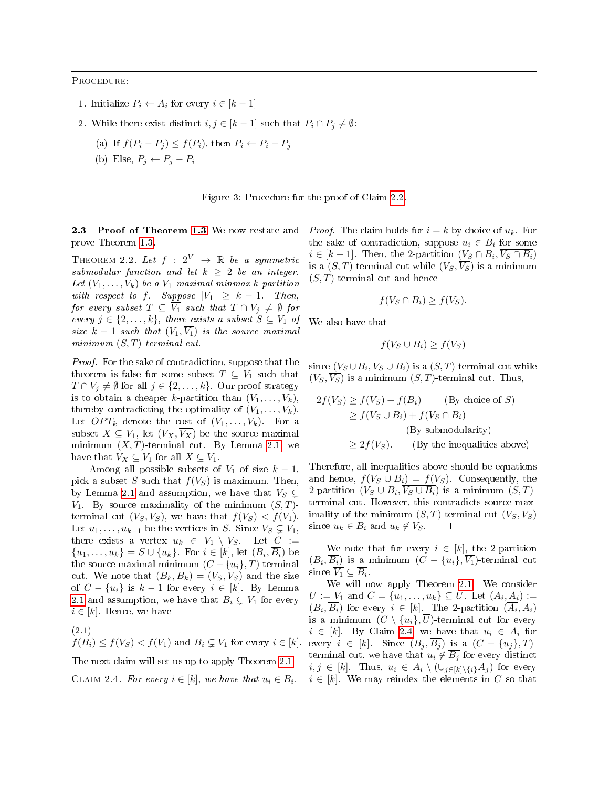<span id="page-7-0"></span>Procedure:

- 1. Initialize  $P_i \leftarrow A_i$  for every  $i \in [k-1]$
- 2. While there exist distinct  $i, j \in [k-1]$  such that  $P_i \cap P_j \neq \emptyset$ :
	- (a) If  $f(P_i P_j) \le f(P_i)$ , then  $P_i \leftarrow P_i P_j$
	- (b) Else,  $P_i \leftarrow P_i P_i$

Figure 3: Procedure for the proof of Claim [2.2.](#page-6-2)

2.3 Proof of Theorem [1.3](#page-4-0) We now restate and prove Theorem [1.3.](#page-4-0)

THEOREM 2.2. Let  $f : 2^V \rightarrow \mathbb{R}$  be a symmetric submodular function and let  $k \geq 2$  be an integer. Let  $(V_1, \ldots, V_k)$  be a  $V_1$ -maximal minmax k-partition with respect to f. Suppose  $|V_1| \geq k-1$ . Then, for every subset  $T \subseteq \overline{V_1}$  such that  $T \cap V_j \neq \emptyset$  for every  $j \in \{2, \ldots, k\}$ , there exists a subset  $S \subseteq V_1$  of size  $k-1$  such that  $(V_1, \overline{V_1})$  is the source maximal minimum  $(S, T)$ -terminal cut.

Proof. For the sake of contradiction, suppose that the theorem is false for some subset  $T \subseteq \overline{V_1}$  such that  $T \cap V_j \neq \emptyset$  for all  $j \in \{2, ..., k\}$ . Our proof strategy is to obtain a cheaper k-partition than  $(V_1, \ldots, V_k)$ , thereby contradicting the optimality of  $(V_1, \ldots, V_k)$ . Let  $OPT_k$  denote the cost of  $(V_1, \ldots, V_k)$ . For a subset  $X \subseteq V_1$ , let  $(V_X, \overline{V_X})$  be the source maximal minimum  $(X, T)$ -terminal cut. By Lemma [2.1,](#page-5-0) we have that  $V_X \subseteq V_1$  for all  $X \subseteq V_1$ .

Among all possible subsets of  $V_1$  of size  $k-1$ , pick a subset S such that  $f(V_S)$  is maximum. Then, by Lemma [2.1](#page-5-0) and assumption, we have that  $V_S \subsetneq$  $V_1$ . By source maximality of the minimum  $(S, T)$ terminal cut  $(V_S, V_S)$ , we have that  $f(V_S) < f(V_1)$ . Let  $u_1, \ldots, u_{k-1}$  be the vertices in S. Since  $V_S \subsetneq V_1$ , there exists a vertex  $u_k \in V_1 \setminus V_S$ . Let  $C :=$  $\{u_1, \ldots, u_k\} = S \cup \{u_k\}.$  For  $i \in [k],$  let  $(B_i, \overline{B_i})$  be the source maximal minimum  $(C - \{u_i\}, T)$ -terminal cut. We note that  $(B_k, \overline{B_k}) = (V_S, \overline{V_S})$  and the size of  $C - \{u_i\}$  is  $k-1$  for every  $i \in [k]$ . By Lemma [2.1](#page-5-0) and assumption, we have that  $B_i \subsetneq V_1$  for every  $i \in [k]$ . Hence, we have

<span id="page-7-2"></span> $f(B_i) \leq f(V_S) < f(V_1)$  and  $B_i \subseteq V_1$  for every  $i \in [k]$ . (2.1) The next claim will set us up to apply Theorem [2.1.](#page-6-0) CLAIM 2.4. For every  $i \in [k]$ , we have that  $u_i \in \overline{B_i}$ .

*Proof.* The claim holds for  $i = k$  by choice of  $u_k$ . For the sake of contradiction, suppose  $u_i \in B_i$  for some  $i \in [k-1]$ . Then, the 2-partition  $(V_S \cap B_i, \overline{V_S \cap B_i})$ is a  $(S, T)$ -terminal cut while  $(V_S, \overline{V_S})$  is a minimum  $(S, T)$ -terminal cut and hence

$$
f(V_S \cap B_i) \ge f(V_S).
$$

We also have that

$$
f(V_S \cup B_i) \ge f(V_S)
$$

since  $(V_S\cup B_i,V_S\cup B_i)$  is a  $(S,T)$ -terminal cut while  $(V_S, \overline{V_S})$  is a minimum  $(S, T)$ -terminal cut. Thus,

$$
2f(V_S) \ge f(V_S) + f(B_i)
$$
 (By choice of S)  
\n
$$
\ge f(V_S \cup B_i) + f(V_S \cap B_i)
$$
  
\n(By submodularity)  
\n
$$
\ge 2f(V_S).
$$
 (By the inequalities above)

Therefore, all inequalities above should be equations and hence,  $f(V_S \cup B_i) = f(V_S)$ . Consequently, the 2-partition  $(V_S \cup B_i, \overline{V_S \cup B_i})$  is a minimum  $(S, T)$ terminal cut. However, this contradicts source maximality of the minimum  $(S, T)$ -terminal cut  $(V_S, \overline{V_S})$ since  $u_k \in B_i$  and  $u_k \notin V_S$ . □

We note that for every  $i \in [k]$ , the 2-partition  $(B_i,\overline{B_i})$  is a minimum  $(C-\{u_i\},\overline{V_1})$ -terminal cut since  $\overline{V_1} \subseteq \overline{B_i}$ .

<span id="page-7-1"></span>We will now apply Theorem [2.1.](#page-6-0) We consider  $U := V_1$  and  $C = \{u_1, \ldots, u_k\} \subseteq U$ . Let  $(\overline{A_i}, A_i) :=$  $(B_i, B_i)$  for every  $i \in [k]$ . The 2-partition  $(A_i, A_i)$ is a minimum  $(C \setminus \{u_i\}, U)$ -terminal cut for every  $i \in [k]$ . By Claim [2.4,](#page-7-1) we have that  $u_i \in A_i$  for every  $i \in [k]$ . Since  $(B_i, \overline{B_i})$  is a  $(C - \{u_i\}, T)$ terminal cut, we have that  $u_i \notin \overline{B_i}$  for every distinct  $i, j \in [k]$ . Thus,  $u_i \in A_i \setminus (\cup_{i \in [k] \setminus \{i\}} A_i)$  for every  $i \in [k]$ . We may reindex the elements in C so that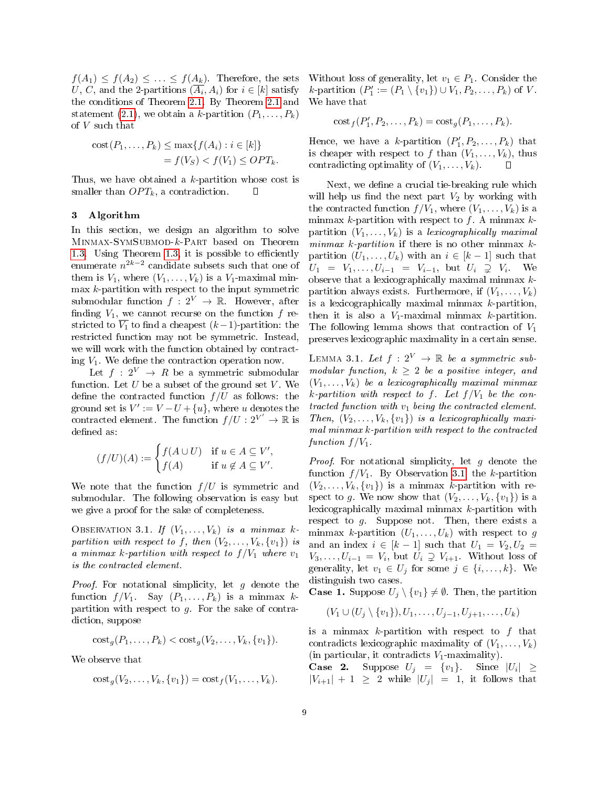$f(A_1) \leq f(A_2) \leq \ldots \leq f(A_k)$ . Therefore, the sets U, C, and the 2-partitions  $(A_i, A_i)$  for  $i \in [k]$  satisfy the conditions of Theorem [2.1.](#page-6-0) By Theorem [2.1](#page-6-0) and statement [\(2.1\)](#page-7-2), we obtain a k-partition  $(P_1, \ldots, P_k)$ of V such that

$$
cost(P_1, \ldots, P_k) \le \max\{f(A_i) : i \in [k]\}
$$
  
=  $f(V_S) < f(V_1) \le OPT_k$ .

Thus, we have obtained a  $k$ -partition whose cost is smaller than  $OPT_k$ , a contradiction. П

#### <span id="page-8-0"></span>3 Algorithm

In this section, we design an algorithm to solve Minmax-SymSubmod-k-Part based on Theorem [1.3.](#page-4-0) Using Theorem [1.3,](#page-4-0) it is possible to efficiently enumerate  $n^{2k-2}$  candidate subsets such that one of them is  $V_1$ , where  $(V_1, \ldots, V_k)$  is a  $V_1$ -maximal min $max\ k$ -partition with respect to the input symmetric submodular function  $f: 2^V \to \mathbb{R}$ . However, after finding  $V_1$ , we cannot recurse on the function f restricted to  $V_1$  to find a cheapest  $(k-1)$ -partition: the restricted function may not be symmetric. Instead, we will work with the function obtained by contracting  $V_1$ . We define the contraction operation now.

Let  $f: 2^V \rightarrow R$  be a symmetric submodular function. Let  $U$  be a subset of the ground set  $V$ . We define the contracted function  $f/U$  as follows: the ground set is  $V' := V - U + \{u\}$ , where u denotes the contracted element. The function  $f/U: 2^{V'} \to \mathbb{R}$  is defined as:

$$
(f/U)(A) := \begin{cases} f(A \cup U) & \text{if } u \in A \subseteq V', \\ f(A) & \text{if } u \notin A \subseteq V'. \end{cases}
$$

We note that the function  $f/U$  is symmetric and submodular. The following observation is easy but we give a proof for the sake of completeness.

<span id="page-8-1"></span>OBSERVATION 3.1. If  $(V_1, \ldots, V_k)$  is a minmax kpartition with respect to f, then  $(V_2, \ldots, V_k, \{v_1\})$  is a minmax k-partition with respect to  $f/V_1$  where  $v_1$ is the contracted element.

*Proof.* For notational simplicity, let  $g$  denote the function  $f/V_1$ . Say  $(P_1, \ldots, P_k)$  is a minmax kpartition with respect to  $g$ . For the sake of contradiction, suppose

$$
costg(P1,...,Pk) < costg(V2,...,Vk, {v1}).
$$

We observe that

$$
cost_g(V_2, \ldots, V_k, \{v_1\}) = cost_f(V_1, \ldots, V_k).
$$

Without loss of generality, let  $v_1 \in P_1$ . Consider the k-partition  $(P'_1 := (P_1 \setminus \{v_1\}) \cup V_1, P_2, \ldots, P_k)$  of V. We have that

$$
cost_f(P'_1, P_2, \dots, P_k) = cost_g(P_1, \dots, P_k).
$$

Hence, we have a k-partition  $(P'_1, P_2, \ldots, P_k)$  that is cheaper with respect to f than  $(V_1, \ldots, V_k)$ , thus contradicting optimality of  $(V_1, \ldots, V_k)$ .

Next, we define a crucial tie-breaking rule which will help us find the next part  $V_2$  by working with the contracted function  $f/V_1$ , where  $(V_1, \ldots, V_k)$  is a minmax  $k$ -partition with respect to  $f$ . A minmax  $k$ partition  $(V_1, \ldots, V_k)$  is a lexicographically maximal minmax  $k$ -partition if there is no other minmax  $k$ partition  $(U_1, \ldots, U_k)$  with an  $i \in [k-1]$  such that  $U_1 = V_1, \ldots, U_{i-1} = V_{i-1}, \text{ but } U_i \supsetneq V_i.$  We observe that a lexicographically maximal minmax  $k$ partition always exists. Furthermore, if  $(V_1, \ldots, V_k)$ is a lexicographically maximal minmax  $k$ -partition, then it is also a  $V_1$ -maximal minmax k-partition. The following lemma shows that contraction of  $V_1$ preserves lexicographic maximality in a certain sense.

<span id="page-8-2"></span>LEMMA 3.1. Let  $f: 2^V \rightarrow \mathbb{R}$  be a symmetric submodular function,  $k \geq 2$  be a positive integer, and  $(V_1, \ldots, V_k)$  be a lexicographically maximal minmax k-partition with respect to f. Let  $f/V_1$  be the contracted function with  $v_1$  being the contracted element. Then,  $(V_2, \ldots, V_k, \{v_1\})$  is a lexicographically maximal minmax k-partition with respect to the contracted function  $f/V_1$ .

*Proof.* For notational simplicity, let  $g$  denote the function  $f/V_1$ . By Observation [3.1,](#page-8-1) the k-partition  $(V_2, \ldots, V_k, \{v_1\})$  is a minmax k-partition with respect to g. We now show that  $(V_2, \ldots, V_k, \{v_1\})$  is a lexicographically maximal minmax k-partition with respect to  $g$ . Suppose not. Then, there exists a minmax k-partition  $(U_1, \ldots, U_k)$  with respect to g and an index  $i \in [k-1]$  such that  $U_1 = V_2, U_2 =$  $V_3, \ldots, U_{i-1} = V_i$ , but  $U_i \supsetneq V_{i+1}$ . Without loss of generality, let  $v_1 \in U_j$  for some  $j \in \{i, \ldots, k\}$ . We distinguish two cases.

**Case 1.** Suppose  $U_i \setminus \{v_1\} \neq \emptyset$ . Then, the partition

$$
(V_1 \cup (U_j \setminus \{v_1\}), U_1, \ldots, U_{j-1}, U_{j+1}, \ldots, U_k)
$$

is a minmax k-partition with respect to  $f$  that contradicts lexicographic maximality of  $(V_1, \ldots, V_k)$ (in particular, it contradicts  $V_1$ -maximality).

**Case 2.** Suppose  $U_j = \{v_1\}$ . Since  $|U_i| \geq$  $|V_{i+1}| + 1 \geq 2$  while  $|U_i| = 1$ , it follows that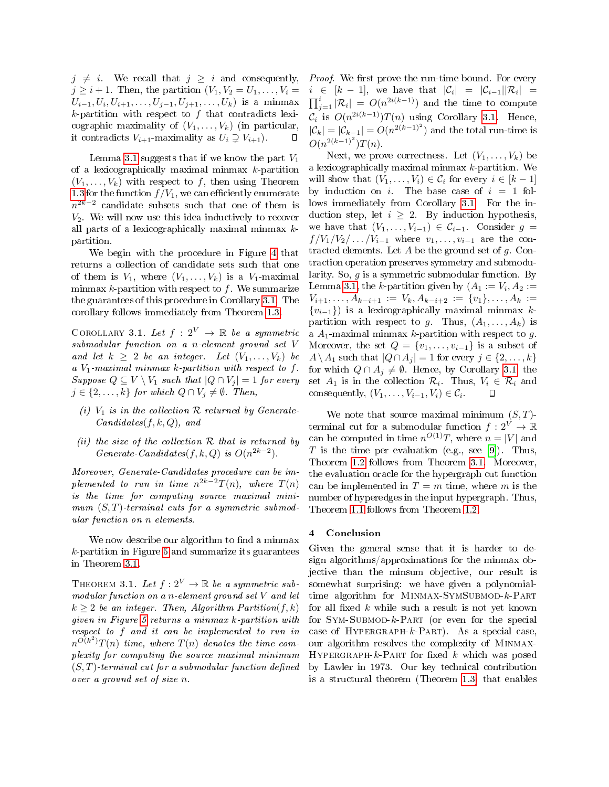$j \neq i$ . We recall that  $j \geq i$  and consequently,  $j \geq i+1$ . Then, the partition  $(V_1, V_2 = U_1, \ldots, V_i =$  $U_{i-1}, U_i, U_{i+1}, \ldots, U_{j-1}, U_{j+1}, \ldots, U_k)$  is a minmax  $k$ -partition with respect to  $f$  that contradicts lexicographic maximality of  $(V_1, \ldots, V_k)$  (in particular, it contradicts  $V_{i+1}$ -maximality as  $U_i \supseteq V_{i+1}$ . □

Lemma [3.1](#page-8-2) suggests that if we know the part  $V_1$ of a lexicographically maximal minmax  $k$ -partition  $(V_1, \ldots, V_k)$  with respect to f, then using Theorem [1.3](#page-4-0) for the function  $f/V_1$ , we can efficiently enumerate  $n^{2k-2}$  candidate subsets such that one of them is  $V_2$ . We will now use this idea inductively to recover all parts of a lexicographically maximal minmax  $k$ partition.

We begin with the procedure in Figure [4](#page-10-9) that returns a collection of candidate sets such that one of them is  $V_1$ , where  $(V_1, \ldots, V_k)$  is a  $V_1$ -maximal minmax  $k$ -partition with respect to  $f$ . We summarize the guarantees of this procedure in Corollary [3.1.](#page-9-1) The corollary follows immediately from Theorem [1.3.](#page-4-0)

<span id="page-9-1"></span>COROLLARY 3.1. Let  $f: 2^V \rightarrow \mathbb{R}$  be a symmetric submodular function on a n-element ground set V and let  $k \geq 2$  be an integer. Let  $(V_1, \ldots, V_k)$  be a  $V_1$ -maximal minmax k-partition with respect to f. Suppose  $Q \subseteq V \setminus V_1$  such that  $|Q \cap V_i| = 1$  for every  $j \in \{2, \ldots, k\}$  for which  $Q \cap V_j \neq \emptyset$ . Then,

- (i)  $V_1$  is in the collection  $R$  returned by Generate- $Candidates(f, k, Q)$ , and
- (ii) the size of the collection  $R$  that is returned by Generate-Candidates(f, k, Q) is  $O(n^{2k-2})$ .

Moreover, Generate-Candidates procedure can be implemented to run in time  $n^{2k-2}T(n)$ , where  $T(n)$ is the time for computing source maximal minimum  $(S, T)$ -terminal cuts for a symmetric submodular function on n elements.

We now describe our algorithm to find a minmax  $k$ -partition in Figure [5](#page-11-17) and summarize its guarantees in Theorem [3.1.](#page-9-2)

<span id="page-9-2"></span>THEOREM 3.1. Let  $f: 2^V \to \mathbb{R}$  be a symmetric submodular function on a n-element ground set V and let  $k \geq 2$  be an integer. Then, Algorithm Partition(f, k) given in Figure [5](#page-11-17) returns a minmax k-partition with respect to f and it can be implemented to run in  $n^{O(k^2)}T(n)$  time, where  $T(n)$  denotes the time complexity for computing the source maximal minimum  $(S, T)$ -terminal cut for a submodular function defined over a ground set of size n.

*Proof.* We first prove the run-time bound. For every  $i \in [k-1]$ , we have that  $|\mathcal{C}_i| = |\mathcal{C}_{i-1}||\mathcal{R}_i| =$  $\prod_{j=1}^i |\mathcal{R}_i| = O(n^{2i(k-1)})$  and the time to compute  $\mathcal{C}_i$  is  $O(n^{2i(k-1)})T(n)$  using Corollary [3.1.](#page-9-1) Hence,  $|\mathcal{C}_k| = |\mathcal{C}_{k-1}| = O(n^{2(k-1)^2})$  and the total run-time is  $O(n^{2(k-1)^2})T(n).$ 

Next, we prove correctness. Let  $(V_1, \ldots, V_k)$  be a lexicographically maximal minmax k-partition. We will show that  $(V_1, \ldots, V_i) \in \mathcal{C}_i$  for every  $i \in [k-1]$ by induction on i. The base case of  $i = 1$  follows immediately from Corollary [3.1.](#page-9-1) For the induction step, let  $i \geq 2$ . By induction hypothesis, we have that  $(V_1, \ldots, V_{i-1}) \in C_{i-1}$ . Consider  $g =$  $f/V_1/V_2/\ldots/V_{i-1}$  where  $v_1,\ldots,v_{i-1}$  are the contracted elements. Let  $A$  be the ground set of  $g$ . Contraction operation preserves symmetry and submodularity. So, g is a symmetric submodular function. By Lemma [3.1,](#page-8-2) the *k*-partition given by  $(A_1 := V_i, A_2 :=$  $V_{i+1}, \ldots, A_{k-i+1} := V_k, A_{k-i+2} := \{v_1\}, \ldots, A_k :=$  ${v_{i-1}}$ ) is a lexicographically maximal minmax kpartition with respect to g. Thus,  $(A_1, \ldots, A_k)$  is a  $A_1$ -maximal minmax k-partition with respect to g. Moreover, the set  $Q = \{v_1, \ldots, v_{i-1}\}\$ is a subset of  $A \setminus A_1$  such that  $|Q \cap A_j| = 1$  for every  $j \in \{2, ..., k\}$ for which  $Q \cap A_i \neq \emptyset$ . Hence, by Corollary [3.1,](#page-9-1) the set  $A_1$  is in the collection  $\mathcal{R}_i$ . Thus,  $V_i \in \mathcal{R}_i$  and consequently,  $(V_1, \ldots, V_{i-1}, V_i) \in \mathcal{C}_i$ .

We note that source maximal minimum  $(S, T)$ terminal cut for a submodular function  $f: 2^V \to \mathbb{R}$ can be computed in time  $n^{O(1)}T$ , where  $n = |V|$  and T is the time per evaluation (e.g., see [\[9\]](#page-11-15)). Thus, Theorem [1.2](#page-1-3) follows from Theorem [3.1.](#page-9-2) Moreover, the evaluation oracle for the hypergraph cut function can be implemented in  $T = m$  time, where m is the number of hyperedges in the input hypergraph. Thus, Theorem [1.1](#page-0-1) follows from Theorem [1.2.](#page-1-3)

## <span id="page-9-0"></span>4 Conclusion

Given the general sense that it is harder to design algorithms/approximations for the minmax objective than the minsum objective, our result is somewhat surprising: we have given a polynomialtime algorithm for MINMAX-SYMSUBMOD-k-PART for all fixed  $k$  while such a result is not yet known for  $Sym-SUBMOD-k-PART$  (or even for the special case of HYPERGRAPH- $k$ -PART). As a special case, our algorithm resolves the complexity of Minmax-HYPERGRAPH- $k$ -PART for fixed  $k$  which was posed by Lawler in 1973. Our key technical contribution is a structural theorem (Theorem [1.3\)](#page-4-0) that enables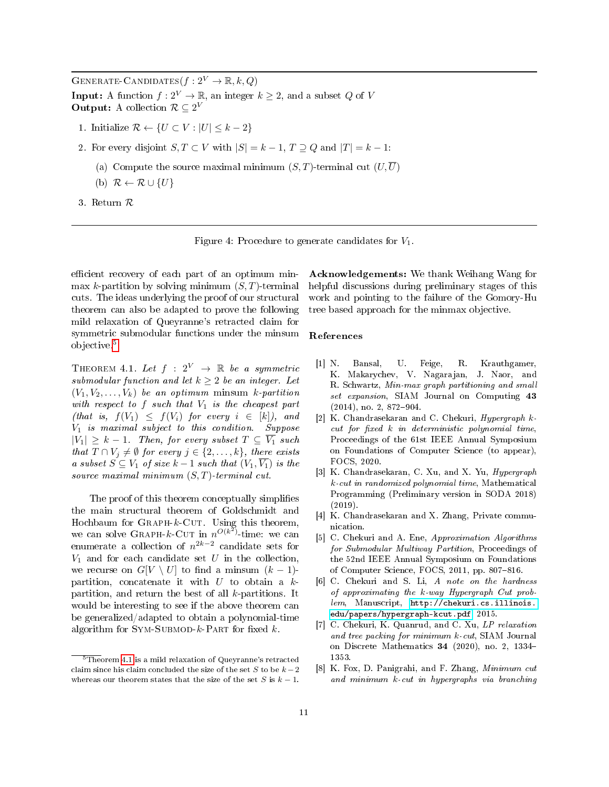<span id="page-10-9"></span>GENERATE-CANDIDATES $(f: 2^V \to \mathbb{R}, k, Q)$ **Input:** A function  $f: 2^V \to \mathbb{R}$ , an integer  $k \geq 2$ , and a subset Q of V **Output:** A collection  $\mathcal{R} \subseteq 2^V$ 

- 1. Initialize  $\mathcal{R} \leftarrow \{U \subset V : |U| \leq k 2\}$
- 2. For every disjoint  $S, T \subset V$  with  $|S| = k 1, T \supseteq Q$  and  $|T| = k 1$ :
	- (a) Compute the source maximal minimum  $(S, T)$ -terminal cut  $(U, U)$
	- (b)  $\mathcal{R} \leftarrow \mathcal{R} \cup \{U\}$
- 3. Return R



efficient recovery of each part of an optimum minmax k-partition by solving minimum  $(S, T)$ -terminal cuts. The ideas underlying the proof of our structural theorem can also be adapted to prove the following mild relaxation of Queyranne's retracted claim for symmetric submodular functions under the minsum objective.[5](#page-10-10)

<span id="page-10-7"></span>THEOREM 4.1. Let  $f : 2^V \rightarrow \mathbb{R}$  be a symmetric submodular function and let  $k > 2$  be an integer. Let  $(V_1, V_2, \ldots, V_k)$  be an optimum minsum k-partition with respect to  $f$  such that  $V_1$  is the cheapest part (that is,  $f(V_1) \leq f(V_i)$  for every  $i \in [k]$ ), and V<sup>1</sup> is maximal subject to this condition. Suppose  $|V_1| \geq k-1$ . Then, for every subset  $T \subseteq \overline{V_1}$  such that  $T \cap V_j \neq \emptyset$  for every  $j \in \{2, \ldots, k\}$ , there exists a subset  $S \subseteq V_1$  of size  $k-1$  such that  $(V_1, \overline{V_1})$  is the source maximal minimum  $(S, T)$ -terminal cut.

The proof of this theorem conceptually simplifies the main structural theorem of Goldschmidt and Hochbaum for  $\text{GRAPH-}k$ -CUT. Using this theorem, we can solve GRAPH-k-CUT in  $n^{O(k^2)}$ -time: we can enumerate a collection of  $n^{2k-2}$  candidate sets for  $V_1$  and for each candidate set U in the collection, we recurse on  $G[V \setminus U]$  to find a minsum  $(k-1)$ partition, concatenate it with  $U$  to obtain a  $k$ partition, and return the best of all k-partitions. It would be interesting to see if the above theorem can be generalized/adapted to obtain a polynomial-time algorithm for  $Sym-SUBMOD-k-PART$  for fixed k.

Acknowledgements: We thank Weihang Wang for helpful discussions during preliminary stages of this work and pointing to the failure of the Gomory-Hu tree based approach for the minmax objective.

#### References

- <span id="page-10-2"></span>[1] N. Bansal, U. Feige, R. Krauthgamer, K. Makarychev, V. Nagarajan, J. Naor, and R. Schwartz, Min-max graph partitioning and small set expansion, SIAM Journal on Computing 43  $(2014)$ , no. 2, 872-904.
- <span id="page-10-6"></span>[2] K. Chandrasekaran and C. Chekuri, Hypergraph kcut for fixed  $k$  in deterministic polynomial time, Proceedings of the 61st IEEE Annual Symposium on Foundations of Computer Science (to appear), FOCS, 2020.
- <span id="page-10-4"></span>[3] K. Chandrasekaran, C. Xu, and X. Yu, *Hypergraph* k-cut in randomized polynomial time, Mathematical Programming (Preliminary version in SODA 2018) (2019).
- <span id="page-10-1"></span>[4] K. Chandrasekaran and X. Zhang, Private communication.
- <span id="page-10-8"></span>[5] C. Chekuri and A. Ene, Approximation Algorithms for Submodular Multiway Partition, Proceedings of the 52nd IEEE Annual Symposium on Foundations of Computer Science, FOCS, 2011, pp. 807-816.
- <span id="page-10-0"></span>[6] C. Chekuri and S. Li, A note on the hardness of approximating the k-way Hypergraph Cut problem, Manuscript, [http://chekuri.cs.illinois.](http://chekuri.cs.illinois.edu/papers/hypergraph-kcut.pdf) [edu/papers/hypergraph-kcut.pdf,](http://chekuri.cs.illinois.edu/papers/hypergraph-kcut.pdf) 2015.
- <span id="page-10-3"></span>[7] C. Chekuri, K. Quanrud, and C. Xu, LP relaxation and tree packing for minimum k-cut, SIAM Journal on Discrete Mathematics 34 (2020), no. 2, 1334 1353.
- <span id="page-10-5"></span>[8] K. Fox, D. Panigrahi, and F. Zhang, Minimum cut and minimum k-cut in hypergraphs via branching

<span id="page-10-10"></span> $5$ Theorem [4.1](#page-10-7) is a mild relaxation of Queyranne's retracted claim since his claim concluded the size of the set S to be  $k-2$ whereas our theorem states that the size of the set S is  $k-1$ .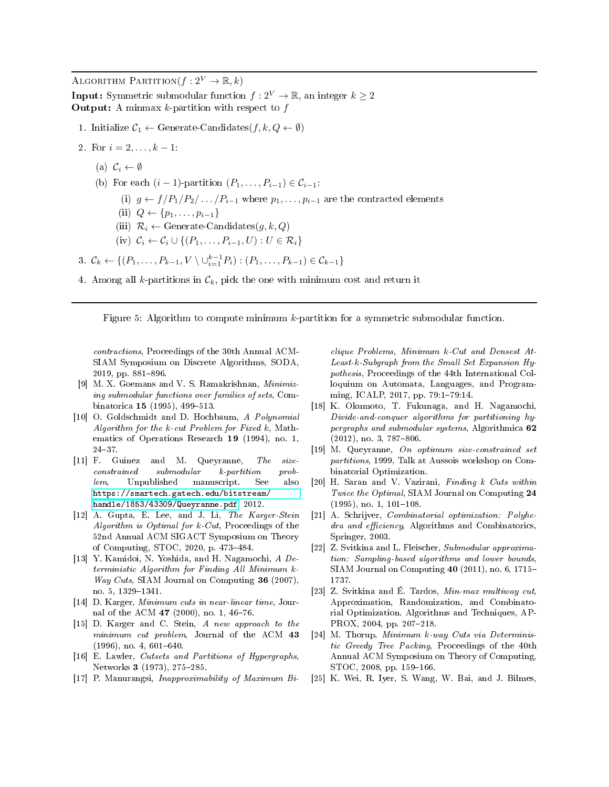<span id="page-11-17"></span>ALGORITHM PARTITION( $f: 2^V \rightarrow \mathbb{R}, k$ )

**Input:** Symmetric submodular function  $f: 2^V \to \mathbb{R}$ , an integer  $k \geq 2$ **Output:** A minmax  $k$ -partition with respect to  $f$ 

- 1. Initialize  $C_1 \leftarrow$  Generate-Candidates $(f, k, Q \leftarrow \emptyset)$
- 2. For  $i = 2, ..., k 1$ :
	- (a)  $\mathcal{C}_i \leftarrow \emptyset$
	- (b) For each  $(i 1)$ -partition  $(P_1, \ldots, P_{i-1}) \in C_{i-1}$ :
		- (i)  $q \leftarrow f/P_1/P_2/\dots/P_{i-1}$  where  $p_1,\dots,p_{i-1}$  are the contracted elements
		- (ii)  $Q \leftarrow \{p_1, \ldots, p_{i-1}\}$
		- (iii)  $\mathcal{R}_i \leftarrow$  Generate-Candidates $(g, k, Q)$
		- (iv)  $C_i \leftarrow C_i \cup \{(P_1, \ldots, P_{i-1}, U) : U \in \mathcal{R}_i\}$

3. 
$$
C_k \leftarrow \{(P_1, \ldots, P_{k-1}, V \setminus \bigcup_{i=1}^{k-1} P_i) : (P_1, \ldots, P_{k-1}) \in C_{k-1}\}
$$

4. Among all k-partitions in  $\mathcal{C}_k$ , pick the one with minimum cost and return it

Figure 5: Algorithm to compute minimum k-partition for a symmetric submodular function.

contractions, Proceedings of the 30th Annual ACM-SIAM Symposium on Discrete Algorithms, SODA, 2019, pp. 881-896.

- <span id="page-11-15"></span>[9] M. X. Goemans and V. S. Ramakrishnan, Minimizing submodular functions over families of sets, Combinatorica  $15$  (1995), 499-513.
- <span id="page-11-5"></span>[10] O. Goldschmidt and D. Hochbaum, A Polynomial Algorithm for the  $k$ -cut Problem for Fixed  $k$ , Mathematics of Operations Research 19 (1994), no. 1, 2437.
- <span id="page-11-12"></span>[11] F. Guinez and M. Queyranne, The sizeconstrained submodular k-partition problem, Unpublished manuscript. See also [https://smartech.gatech.edu/bitstream/](https://smartech.gatech.edu/bitstream/handle/1853/43309/Queyranne.pdf) [handle/1853/43309/Queyranne.pdf,](https://smartech.gatech.edu/bitstream/handle/1853/43309/Queyranne.pdf) 2012.
- <span id="page-11-9"></span>[12] A. Gupta, E. Lee, and J. Li, The Karger-Stein Algorithm is Optimal for  $k$ -Cut, Proceedings of the 52nd Annual ACM SIGACT Symposium on Theory of Computing, STOC,  $2020$ , p.  $473-484$ .
- <span id="page-11-14"></span>[13] Y. Kamidoi, N. Yoshida, and H. Nagamochi, A Deterministic Algorithm for Finding All Minimum k-Way Cuts, SIAM Journal on Computing 36 (2007), no. 5, 1329-1341.
- <span id="page-11-7"></span>[14] D. Karger, Minimum cuts in near-linear time, Journal of the ACM 47 (2000), no. 1, 46-76.
- <span id="page-11-6"></span>[15] D. Karger and C. Stein, A new approach to the minimum cut problem, Journal of the ACM 43  $(1996)$ , no. 4, 601-640.
- <span id="page-11-0"></span>[16] E. Lawler, Cutsets and Partitions of Hypergraphs, Networks 3 (1973), 275-285.
- <span id="page-11-11"></span>[17] P. Manurangsi, Inapproximability of Maximum Bi-

clique Problems, Minimum k-Cut and Densest At-Least-k-Subgraph from the Small Set Expansion Hypothesis, Proceedings of the 44th International Colloquium on Automata, Languages, and Programming, ICALP, 2017, pp. 79:1-79:14.

- <span id="page-11-4"></span>[18] K. Okumoto, T. Fukunaga, and H. Nagamochi, Divide-and-conquer algorithms for partitioning hypergraphs and submodular systems, Algorithmica 62  $(2012)$ , no. 3, 787-806.
- <span id="page-11-16"></span>[19] M. Queyranne, On optimum size-constrained set partitions, 1999, Talk at Aussois workshop on Combinatorial Optimization.
- <span id="page-11-10"></span>[20] H. Saran and V. Vazirani, Finding k Cuts within Twice the Optimal, SIAM Journal on Computing 24  $(1995)$ , no. 1, 101-108.
- <span id="page-11-13"></span>[21] A. Schrijver, Combinatorial optimization: Polyhedra and efficiency, Algorithms and Combinatorics, Springer, 2003.
- <span id="page-11-2"></span>[22] Z. Svitkina and L. Fleischer, Submodular approximation: Sampling-based algorithms and lower bounds, SIAM Journal on Computing 40 (2011), no. 6, 1715 1737.
- <span id="page-11-1"></span>[23] Z. Svitkina and É. Tardos, Min-max multiway cut, Approximation, Randomization, and Combinatorial Optimization. Algorithms and Techniques, AP-PROX, 2004, pp. 207-218.
- <span id="page-11-8"></span>[24] M. Thorup, Minimum k-way Cuts via Deterministic Greedy Tree Packing, Proceedings of the 40th Annual ACM Symposium on Theory of Computing, STOC, 2008, pp. 159-166.
- <span id="page-11-3"></span>[25] K. Wei, R. Iyer, S. Wang, W. Bai, and J. Bilmes,